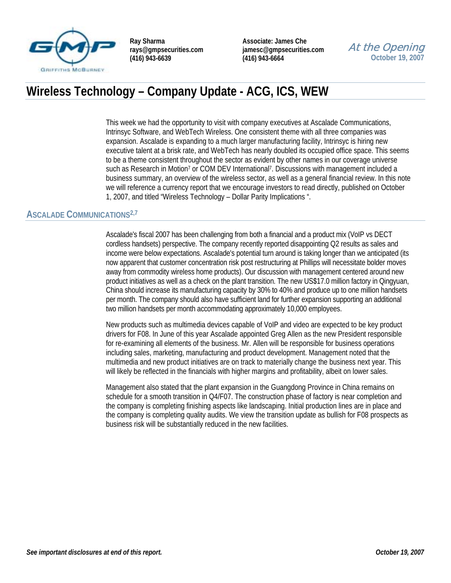

**Associate: James Che jamesc@gmpsecurities.com (416) 943-6664** 

## At the Opening **October 19, 2007**

# **Wireless Technology – Company Update - ACG, ICS, WEW**

This week we had the opportunity to visit with company executives at Ascalade Communications, Intrinsyc Software, and WebTech Wireless. One consistent theme with all three companies was expansion. Ascalade is expanding to a much larger manufacturing facility, Intrinsyc is hiring new executive talent at a brisk rate, and WebTech has nearly doubled its occupied office space. This seems to be a theme consistent throughout the sector as evident by other names in our coverage universe such as Research in Motion<sup>7</sup> or COM DEV International<sup>7</sup>. Discussions with management included a business summary, an overview of the wireless sector, as well as a general financial review. In this note we will reference a currency report that we encourage investors to read directly, published on October 1, 2007, and titled "Wireless Technology – Dollar Parity Implications ".

#### **ASCALADE COMMUNICATIONS2,7**

Ascalade's fiscal 2007 has been challenging from both a financial and a product mix (VoIP vs DECT cordless handsets) perspective. The company recently reported disappointing Q2 results as sales and income were below expectations. Ascalade's potential turn around is taking longer than we anticipated (its now apparent that customer concentration risk post restructuring at Phillips will necessitate bolder moves away from commodity wireless home products). Our discussion with management centered around new product initiatives as well as a check on the plant transition. The new US\$17.0 million factory in Qingyuan, China should increase its manufacturing capacity by 30% to 40% and produce up to one million handsets per month. The company should also have sufficient land for further expansion supporting an additional two million handsets per month accommodating approximately 10,000 employees.

New products such as multimedia devices capable of VoIP and video are expected to be key product drivers for F08. In June of this year Ascalade appointed Greg Allen as the new President responsible for re-examining all elements of the business. Mr. Allen will be responsible for business operations including sales, marketing, manufacturing and product development. Management noted that the multimedia and new product initiatives are on track to materially change the business next year. This will likely be reflected in the financials with higher margins and profitability, albeit on lower sales.

Management also stated that the plant expansion in the Guangdong Province in China remains on schedule for a smooth transition in Q4/F07. The construction phase of factory is near completion and the company is completing finishing aspects like landscaping. Initial production lines are in place and the company is completing quality audits. We view the transition update as bullish for F08 prospects as business risk will be substantially reduced in the new facilities.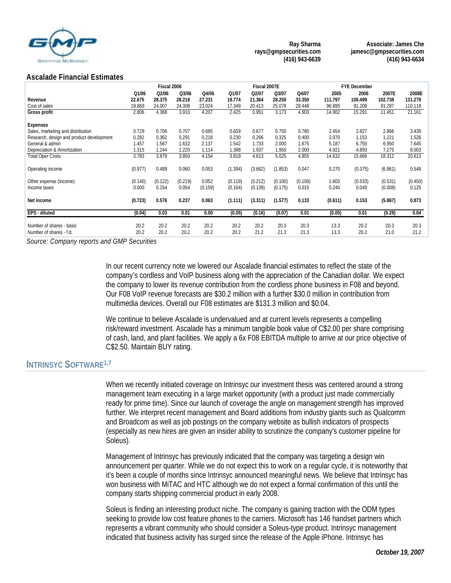

**Associate: James Che jamesc@gmpsecurities.com (416) 943-6634** 

#### **Ascalade Financial Estimates**

|                                                     | Fiscal 2006  |              |              |              |              | Fiscal 2007E |              |              | <b>FYE December</b> |              |              |              |
|-----------------------------------------------------|--------------|--------------|--------------|--------------|--------------|--------------|--------------|--------------|---------------------|--------------|--------------|--------------|
|                                                     | Q1/06        | Q2/06        | Q3/06        | Q4/06        | Q1/07        | Q2/07        | Q3/07        | Q4/07        | 2005                | 2006         | 2007E        | 2008E        |
| Revenue                                             | 22.675       | 28.375       | 28.218       | 27.231       | 19.774       | 21.364       | 28.250       | 33.350       | 111.797             | 106.499      | 102.738      | 131.279      |
| Cost of sales                                       | 19.869       | 24.007       | 24.308       | 23.024       | 17.349       | 20.413       | 25.078       | 28.448       | 96.895              | 91.208       | 91.287       | 110.118      |
| Gross profit                                        | 2.806        | 4.368        | 3.910        | 4.207        | 2.425        | 0.951        | 3.173        | 4.903        | 14.902              | 15.291       | 11.451       | 21.161       |
| <b>Expenses</b>                                     |              |              |              |              |              |              |              |              |                     |              |              |              |
| Sales, marketing and distribution                   | 0.729        | 0.706        | 0.707        | 0.685        | 0.659        | 0.677        | 0.750        | 0.780        | 2.454               | 2.827        | 2.866        | 3.439        |
| Research, design and product development            | 0.282        | 0.362        | 0.291        | 0.218        | 0.230        | 0.266        | 0.325        | 0.400        | 2.070               | 1.153        | 1.221        | 1.526        |
| General & admin                                     | 1.457        | 1.567        | 1.632        | 2.137        | 1.542        | 1.733        | 2.000        | 1.675        | 5.187               | 6.793        | 6.950        | 7.645        |
| Depreciation & Amortization                         | 1.315        | 1.244        | 1.220        | 1.114        | 1.388        | 1.937        | 1.950        | 2.000        | 4.921               | 4.893        | 7.275        | 8.003        |
| <b>Total Oper Costs</b>                             | 3.783        | 3.879        | 3.850        | 4.154        | 3.819        | 4.613        | 5.025        | 4.855        | 14.632              | 15.666       | 18.312       | 20.613       |
| Operating income                                    | (0.977)      | 0.489        | 0.060        | 0.053        | (1.394)      | (3.662)      | (1.853)      | 0.047        | 0.270               | (0.375)      | (6.861)      | 0.548        |
| Other expense (income)                              | (0.140)      | (0.122)      | (0.219)      | 0.052        | (0.119)      | (0.212)      | (0.100)      | (0.100)      | 1.603               | (0.533)      | (0.531)      | (0.450)      |
| Income taxes                                        | 0.000        | 0.154        | 0.054        | (0.159)      | (0.164)      | (0.139)      | (0.175)      | 0.015        | 0.240               | 0.049        | (0.008)      | 0.125        |
| Net income                                          | (0.723)      | 0.576        | 0.237        | 0.063        | (1.111)      | (3.311)      | (1.577)      | 0.133        | (0.611)             | 0.153        | (5.867)      | 0.873        |
| EPS - diluted                                       | (0.04)       | 0.03         | 0.01         | 0.00         | (0.05)       | (0.16)       | (0.07)       | 0.01         | (0.05)              | 0.01         | (0.29)       | 0.04         |
| Number of shares - basic<br>Number of shares - f.d. | 20.2<br>20.2 | 20.2<br>20.2 | 20.2<br>20.2 | 20.2<br>20.2 | 20.2<br>20.2 | 20.2<br>21.2 | 20.3<br>21.3 | 20.3<br>21.3 | 13.3<br>13.3        | 20.2<br>20.2 | 20.3<br>21.0 | 20.3<br>21.2 |

*Source: Company reports and GMP Securities* 

In our recent currency note we lowered our Ascalade financial estimates to reflect the state of the company's cordless and VoIP business along with the appreciation of the Canadian dollar. We expect the company to lower its revenue contribution from the cordless phone business in F08 and beyond. Our F08 VoIP revenue forecasts are \$30.2 million with a further \$30.0 million in contribution from multimedia devices. Overall our F08 estimates are \$131.3 million and \$0.04.

We continue to believe Ascalade is undervalued and at current levels represents a compelling risk/reward investment. Ascalade has a minimum tangible book value of C\$2.00 per share comprising of cash, land, and plant facilities. We apply a 6x F08 EBITDA multiple to arrive at our price objective of C\$2.50. Maintain BUY rating.

### **INTRINSYC SOFTWARE<sup>1,7</sup>**

When we recently initiated coverage on Intrinsyc our investment thesis was centered around a strong management team executing in a large market opportunity (with a product just made commercially ready for prime time). Since our launch of coverage the angle on management strength has improved further. We interpret recent management and Board additions from industry giants such as Qualcomm and Broadcom as well as job postings on the company website as bullish indicators of prospects (especially as new hires are given an insider ability to scrutinize the company's customer pipeline for Soleus).

Management of Intrinsyc has previously indicated that the company was targeting a design win announcement per quarter. While we do not expect this to work on a regular cycle, it is noteworthy that it's been a couple of months since Intrinsyc announced meaningful news. We believe that Intrinsyc has won business with MiTAC and HTC although we do not expect a formal confirmation of this until the company starts shipping commercial product in early 2008.

Soleus is finding an interesting product niche. The company is gaining traction with the ODM types seeking to provide low cost feature phones to the carriers. Microsoft has 146 handset partners which represents a vibrant community who should consider a Soleus-type product. Intrinsyc management indicated that business activity has surged since the release of the Apple iPhone. Intrinsyc has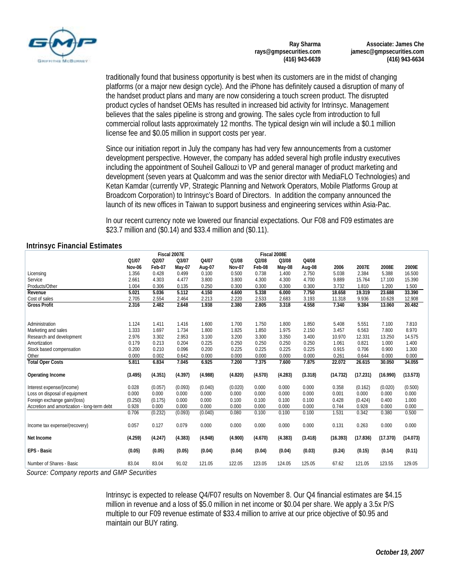

**Associate: James Che jamesc@gmpsecurities.com (416) 943-6634** 

traditionally found that business opportunity is best when its customers are in the midst of changing platforms (or a major new design cycle). And the iPhone has definitely caused a disruption of many of the handset product plans and many are now considering a touch screen product. The disrupted product cycles of handset OEMs has resulted in increased bid activity for Intrinsyc. Management believes that the sales pipeline is strong and growing. The sales cycle from introduction to full commercial rollout lasts approximately 12 months. The typical design win will include a \$0.1 million license fee and \$0.05 million in support costs per year.

Since our initiation report in July the company has had very few announcements from a customer development perspective. However, the company has added several high profile industry executives including the appointment of Souheil Gallouzi to VP and general manager of product marketing and development (seven years at Qualcomm and was the senior director with MediaFLO Technologies) and Ketan Kamdar (currently VP, Strategic Planning and Network Operators, Mobile Platforms Group at Broadcom Corporation) to Intrinsyc's Board of Directors. In addition the company announced the launch of its new offices in Taiwan to support business and engineering services within Asia-Pac.

In our recent currency note we lowered our financial expectations. Our F08 and F09 estimates are \$23.7 million and (\$0.14) and \$33.4 million and (\$0.11).

#### **Intrinsyc Financial Estimates**

|                                                            | Fiscal 2007E |         |         |         |               |         | Fiscal 2008E |         |          |          |          |          |
|------------------------------------------------------------|--------------|---------|---------|---------|---------------|---------|--------------|---------|----------|----------|----------|----------|
|                                                            | Q1/07        | Q2/07   | Q3/07   | Q4/07   | Q1/08         | Q2/08   | Q3/08        | Q4/08   |          |          |          |          |
|                                                            | Nov-06       | Feb-07  | May-07  | Aug-07  | <b>Nov-07</b> | Feb-08  | May-08       | Aug-08  | 2006     | 2007E    | 2008E    | 2009E    |
| Licensing                                                  | 1.356        | 0.428   | 0.499   | 0.100   | 0.500         | 0.738   | 1.400        | 2.750   | 5.038    | 2.384    | 5.388    | 16.500   |
| Service                                                    | 2.661        | 4.303   | 4.477   | 3.800   | 3.800         | 4.300   | 4.300        | 4.700   | 9.889    | 15.764   | 17.100   | 15.390   |
| Products/Other                                             | 1.004        | 0.306   | 0.135   | 0.250   | 0.300         | 0.300   | 0.300        | 0.300   | 3.732    | 1.810    | 1.200    | 1.500    |
| Revenue                                                    | 5.021        | 5.036   | 5.112   | 4.150   | 4.600         | 5.338   | 6.000        | 7.750   | 18.658   | 19.319   | 23.688   | 33.390   |
| Cost of sales                                              | 2.705        | 2.554   | 2.464   | 2.213   | 2.220         | 2.533   | 2.683        | 3.193   | 11.318   | 9.936    | 10.628   | 12.908   |
| <b>Gross Profit</b>                                        | 2.316        | 2.482   | 2.648   | 1.938   | 2.380         | 2.805   | 3.318        | 4.558   | 7.340    | 9.384    | 13.060   | 20.482   |
| Administration                                             | 1.124        | 1.411   | 1.416   | 1.600   | 1.700         | 1.750   | 1.800        | 1.850   | 5.408    | 5.551    | 7.100    | 7.810    |
| Marketing and sales                                        | 1.333        | 1.697   | 1.734   | 1.800   | 1.825         | 1.850   | 1.975        | 2.150   | 3.457    | 6.563    | 7.800    | 8.970    |
| Research and development                                   | 2.976        | 3.302   | 2.953   | 3.100   | 3.200         | 3.300   | 3.350        | 3.400   | 10.970   | 12.331   | 13.250   | 14.575   |
| Amortization                                               | 0.179        | 0.213   | 0.204   | 0.225   | 0.250         | 0.250   | 0.250        | 0.250   | 1.061    | 0.821    | 1.000    | 1.400    |
| Stock based compensation                                   | 0.200        | 0.210   | 0.096   | 0.200   | 0.225         | 0.225   | 0.225        | 0.225   | 0.915    | 0.706    | 0.900    | 1.300    |
| Other                                                      | 0.000        | 0.002   | 0.642   | 0.000   | 0.000         | 0.000   | 0.000        | 0.000   | 0.261    | 0.644    | 0.000    | 0.000    |
| <b>Total Oper Costs</b>                                    | 5.811        | 6.834   | 7.045   | 6.925   | 7.200         | 7.375   | 7.600        | 7.875   | 22.072   | 26.615   | 30.050   | 34.055   |
| <b>Operating Income</b>                                    | (3.495)      | (4.351) | (4.397) | (4.988) | (4.820)       | (4.570) | (4.283)      | (3.318) | (14.732) | (17.231) | (16.990) | (13.573) |
| Interest expense/(income)                                  | 0.028        | (0.057) | (0.093) | (0.040) | (0.020)       | 0.000   | 0.000        | 0.000   | 0.358    | (0.162)  | (0.020)  | (0.500)  |
| Loss on disposal of equipment                              | 0.000        | 0.000   | 0.000   | 0.000   | 0.000         | 0.000   | 0.000        | 0.000   | 0.001    | 0.000    | 0.000    | 0.000    |
| Foreign exchange gain/(loss)                               | (0.250)      | (0.175) | 0.000   | 0.000   | 0.100         | 0.100   | 0.100        | 0.100   | 0.428    | (0.424)  | 0.400    | 1.000    |
| Accretion and amortization - long-term debt                | 0.928        | 0.000   | 0.000   | 0.000   | 0.000         | 0.000   | 0.000        | 0.000   | 0.744    | 0.928    | 0.000    | 0.000    |
|                                                            | 0.706        | (0.232) | (0.093) | (0.040) | 0.080         | 0.100   | 0.100        | 0.100   | 1.531    | 0.342    | 0.380    | 0.500    |
| Income tax expense/(recovery)                              | 0.057        | 0.127   | 0.079   | 0.000   | 0.000         | 0.000   | 0.000        | 0.000   | 0.131    | 0.263    | 0.000    | 0.000    |
| Net Income                                                 | (4.259)      | (4.247) | (4.383) | (4.948) | (4.900)       | (4.670) | (4.383)      | (3.418) | (16.393) | (17.836) | (17.370) | (14.073) |
| <b>EPS - Basic</b>                                         | (0.05)       | (0.05)  | (0.05)  | (0.04)  | (0.04)        | (0.04)  | (0.04)       | (0.03)  | (0.24)   | (0.15)   | (0.14)   | (0.11)   |
| Number of Shares - Basic<br>$\cdot$ $\sim$ $\cdot$ $\cdot$ | 83.04        | 83.04   | 91.02   | 121.05  | 122.05        | 123.05  | 124.05       | 125.05  | 67.62    | 121.05   | 123.55   | 129.05   |

*Source: Company reports and GMP Securities* 

Intrinsyc is expected to release Q4/F07 results on November 8. Our Q4 financial estimates are \$4.15 million in revenue and a loss of \$5.0 million in net income or \$0.04 per share. We apply a 3.5x P/S multiple to our F09 revenue estimate of \$33.4 million to arrive at our price objective of \$0.95 and maintain our BUY rating.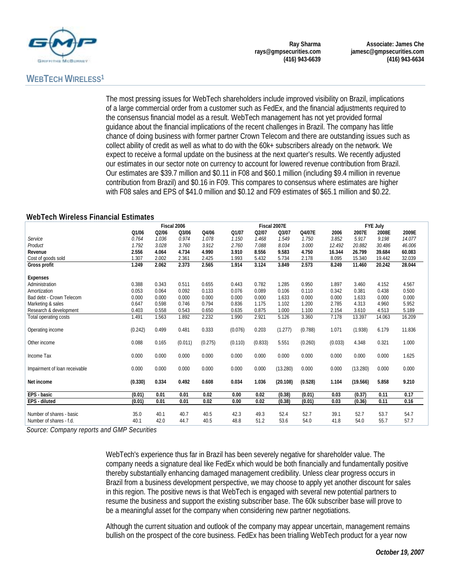

## **WEBTECH WIRELESS1**

The most pressing issues for WebTech shareholders include improved visibility on Brazil, implications of a large commercial order from a customer such as FedEx, and the financial adjustments required to the consensus financial model as a result. WebTech management has not yet provided formal guidance about the financial implications of the recent challenges in Brazil. The company has little chance of doing business with former partner Crown Telecom and there are outstanding issues such as collect ability of credit as well as what to do with the 60k+ subscribers already on the network. We expect to receive a formal update on the business at the next quarter's results. We recently adjusted our estimates in our sector note on currency to account for lowered revenue contribution from Brazil. Our estimates are \$39.7 million and \$0.11 in F08 and \$60.1 million (including \$9.4 million in revenue contribution from Brazil) and \$0.16 in F09. This compares to consensus where estimates are higher with F08 sales and EPS of \$41.0 million and \$0.12 and F09 estimates of \$65.1 million and \$0.22.

#### **WebTech Wireless Financial Estimates**

|                               | Fiscal 2006 |       |         |         |         |         | Fiscal 2007E |         | <b>FYE July</b> |          |        |        |
|-------------------------------|-------------|-------|---------|---------|---------|---------|--------------|---------|-----------------|----------|--------|--------|
|                               | Q1/06       | Q2/06 | Q3/06   | Q4/06   | Q1/07   | Q2/07   | Q3/07        | Q4/07E  | 2006            | 2007E    | 2008E  | 2009E  |
| Service                       | 0.764       | 1.036 | 0.974   | 1.078   | 1.150   | 1.468   | 1.549        | 1.750   | 3.852           | 5.917    | 9.198  | 14.077 |
| Product                       | 1.792       | 3.028 | 3.760   | 3.912   | 2.760   | 7.088   | 8.034        | 3.000   | 12.492          | 20.882   | 30.486 | 46.006 |
| Revenue                       | 2.556       | 4.064 | 4.734   | 4.990   | 3.910   | 8.556   | 9.583        | 4.750   | 16.344          | 26.799   | 39.684 | 60.083 |
| Cost of goods sold            | 1.307       | 2.002 | 2.361   | 2.425   | 1.993   | 5.432   | 5.734        | 2.178   | 8.095           | 15.340   | 19.442 | 32.039 |
| <b>Gross profit</b>           | 1.249       | 2.062 | 2.373   | 2.565   | 1.914   | 3.124   | 3.849        | 2.573   | 8.249           | 11.460   | 20.242 | 28.044 |
|                               |             |       |         |         |         |         |              |         |                 |          |        |        |
| <b>Expenses</b>               |             |       |         |         |         |         |              |         |                 |          |        |        |
| Administration                | 0.388       | 0.343 | 0.511   | 0.655   | 0.443   | 0.782   | 1.285        | 0.950   | 1.897           | 3.460    | 4.152  | 4.567  |
| Amortization                  | 0.053       | 0.064 | 0.092   | 0.133   | 0.076   | 0.089   | 0.106        | 0.110   | 0.342           | 0.381    | 0.438  | 0.500  |
| Bad debt - Crown Telecom      | 0.000       | 0.000 | 0.000   | 0.000   | 0.000   | 0.000   | 1.633        | 0.000   | 0.000           | 1.633    | 0.000  | 0.000  |
| Marketing & sales             | 0.647       | 0.598 | 0.746   | 0.794   | 0.836   | 1.175   | 1.102        | 1.200   | 2.785           | 4.313    | 4.960  | 5.952  |
| Research & development        | 0.403       | 0.558 | 0.543   | 0.650   | 0.635   | 0.875   | 1.000        | 1.100   | 2.154           | 3.610    | 4.513  | 5.189  |
| Total operating costs         | 1.491       | 1.563 | 1.892   | 2.232   | 1.990   | 2.921   | 5.126        | 3.360   | 7.178           | 13.397   | 14.063 | 16.209 |
| Operating income              | (0.242)     | 0.499 | 0.481   | 0.333   | (0.076) | 0.203   | (1.277)      | (0.788) | 1.071           | (1.938)  | 6.179  | 11.836 |
|                               |             |       |         |         |         |         |              |         |                 |          |        |        |
| Other income                  | 0.088       | 0.165 | (0.011) | (0.275) | (0.110) | (0.833) | 5.551        | (0.260) | (0.033)         | 4.348    | 0.321  | 1.000  |
|                               |             |       |         |         |         |         |              |         |                 |          |        |        |
| Income Tax                    | 0.000       | 0.000 | 0.000   | 0.000   | 0.000   | 0.000   | 0.000        | 0.000   | 0.000           | 0.000    | 0.000  | 1.625  |
| Impairment of loan receivable | 0.000       | 0.000 | 0.000   | 0.000   | 0.000   | 0.000   | (13.280)     | 0.000   | 0.000           | (13.280) | 0.000  | 0.000  |
|                               |             |       |         |         |         |         |              |         |                 |          |        |        |
| Net income                    | (0.330)     | 0.334 | 0.492   | 0.608   | 0.034   | 1.036   | (20.108)     | (0.528) | 1.104           | (19.566) | 5.858  | 9.210  |
| EPS - basic                   | (0.01)      | 0.01  | 0.01    | 0.02    | 0.00    | 0.02    | (0.38)       | (0.01)  | 0.03            | (0.37)   | 0.11   | 0.17   |
| EPS - diluted                 | (0.01)      | 0.01  | 0.01    | 0.02    | 0.00    | 0.02    | (0.38)       | (0.01)  | 0.03            | (0.36)   | 0.11   | 0.16   |
|                               |             |       |         |         |         |         |              |         |                 |          |        |        |
| Number of shares - basic      | 35.0        | 40.1  | 40.7    | 40.5    | 42.3    | 49.3    | 52.4         | 52.7    | 39.1            | 52.7     | 53.7   | 54.7   |
| Number of shares - f.d.       | 40.1        | 42.0  | 44.7    | 40.5    | 48.8    | 51.2    | 53.6         | 54.0    | 41.8            | 54.0     | 55.7   | 57.7   |
|                               |             |       |         |         |         |         |              |         |                 |          |        |        |

*Source: Company reports and GMP Securities* 

WebTech's experience thus far in Brazil has been severely negative for shareholder value. The company needs a signature deal like FedEx which would be both financially and fundamentally positive thereby substantially enhancing damaged management credibility. Unless clear progress occurs in Brazil from a business development perspective, we may choose to apply yet another discount for sales in this region. The positive news is that WebTech is engaged with several new potential partners to resume the business and support the existing subscriber base. The 60k subscriber base will prove to be a meaningful asset for the company when considering new partner negotiations.

Although the current situation and outlook of the company may appear uncertain, management remains bullish on the prospect of the core business. FedEx has been trialling WebTech product for a year now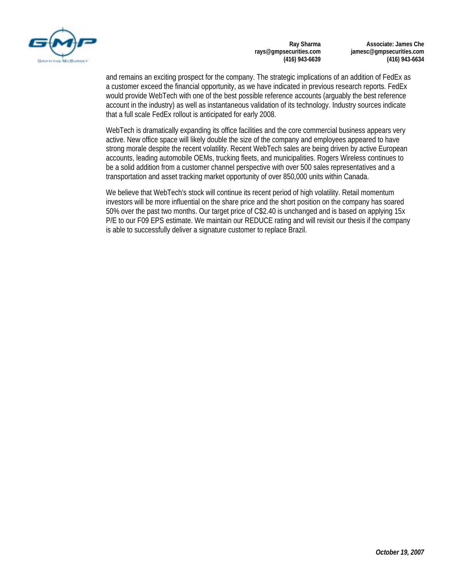

**Associate: James Che jamesc@gmpsecurities.com (416) 943-6634** 

and remains an exciting prospect for the company. The strategic implications of an addition of FedEx as a customer exceed the financial opportunity, as we have indicated in previous research reports. FedEx would provide WebTech with one of the best possible reference accounts (arguably the best reference account in the industry) as well as instantaneous validation of its technology. Industry sources indicate that a full scale FedEx rollout is anticipated for early 2008.

WebTech is dramatically expanding its office facilities and the core commercial business appears very active. New office space will likely double the size of the company and employees appeared to have strong morale despite the recent volatility. Recent WebTech sales are being driven by active European accounts, leading automobile OEMs, trucking fleets, and municipalities. Rogers Wireless continues to be a solid addition from a customer channel perspective with over 500 sales representatives and a transportation and asset tracking market opportunity of over 850,000 units within Canada.

We believe that WebTech's stock will continue its recent period of high volatility. Retail momentum investors will be more influential on the share price and the short position on the company has soared 50% over the past two months. Our target price of C\$2.40 is unchanged and is based on applying 15x P/E to our F09 EPS estimate. We maintain our REDUCE rating and will revisit our thesis if the company is able to successfully deliver a signature customer to replace Brazil.